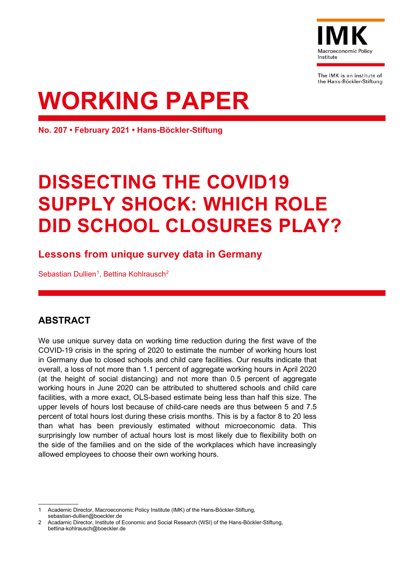

The IMK is an institute of the Hans-Böckler-Stiftung

# **WORKING PAPER**

**No. 207 • February 2021 • Hans-Böckler-Stiftung**

# **DISSECTING THE COVID19 SUPPLY SHOCK: WHICH ROLE DID SCHOOL CLOSURES PLAY?**

# **Lessons from unique survey data in Germany**

Sebastian Dullien<sup>[1](#page-0-0)</sup>, Bettina Kohlrausch<sup>[2](#page-0-1)</sup>

# **ABSTRACT**

We use unique survey data on working time reduction during the first wave of the COVID-19 crisis in the spring of 2020 to estimate the number of working hours lost in Germany due to closed schools and child care facilities. Our results indicate that overall, a loss of not more than 1.1 percent of aggregate working hours in April 2020 (at the height of social distancing) and not more than 0.5 percent of aggregate working hours in June 2020 can be attributed to shuttered schools and child care facilities, with a more exact, OLS-based estimate being less than half this size. The upper levels of hours lost because of child-care needs are thus between 5 and 7.5 percent of total hours lost during these crisis months. This is by a factor 8 to 20 less than what has been previously estimated without microeconomic data. This surprisingly low number of actual hours lost is most likely due to flexibility both on the side of the families and on the side of the workplaces which have increasingly allowed employees to choose their own working hours.

<span id="page-0-0"></span><sup>—————————</sup> 1 Academic Director, Macroeconomic Policy Institute (IMK) of the Hans-Böckler-Stiftung, [sebastian-dullien@boeckler.de](mailto:sebastian-dullien@boeckler.de)

<span id="page-0-1"></span><sup>2</sup> Acadamic Director, Institute of Economic and Social Research (WSI) of the Hans-Böckler-Stiftung, [bettina-kohlrausch@boeckler.de](mailto:bettina-kohlrausch@boeckler.de)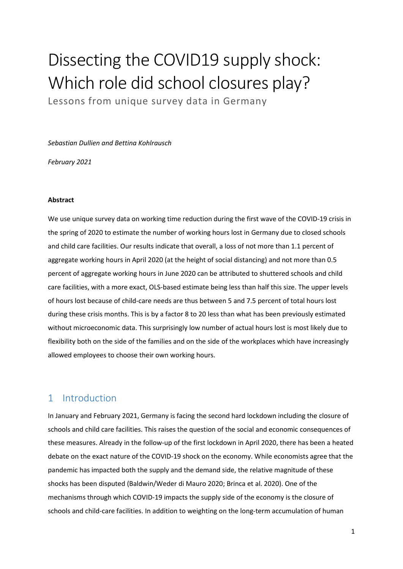# Dissecting the COVID19 supply shock: Which role did school closures play?

Lessons from unique survey data in Germany

*Sebastian Dullien and Bettina Kohlrausch*

*February 2021*

#### **Abstract**

We use unique survey data on working time reduction during the first wave of the COVID-19 crisis in the spring of 2020 to estimate the number of working hours lost in Germany due to closed schools and child care facilities. Our results indicate that overall, a loss of not more than 1.1 percent of aggregate working hours in April 2020 (at the height of social distancing) and not more than 0.5 percent of aggregate working hours in June 2020 can be attributed to shuttered schools and child care facilities, with a more exact, OLS-based estimate being less than half this size. The upper levels of hours lost because of child-care needs are thus between 5 and 7.5 percent of total hours lost during these crisis months. This is by a factor 8 to 20 less than what has been previously estimated without microeconomic data. This surprisingly low number of actual hours lost is most likely due to flexibility both on the side of the families and on the side of the workplaces which have increasingly allowed employees to choose their own working hours.

# 1 Introduction

In January and February 2021, Germany is facing the second hard lockdown including the closure of schools and child care facilities. This raises the question of the social and economic consequences of these measures. Already in the follow-up of the first lockdown in April 2020, there has been a heated debate on the exact nature of the COVID-19 shock on the economy. While economists agree that the pandemic has impacted both the supply and the demand side, the relative magnitude of these shocks has been disputed (Baldwin/Weder di Mauro 2020; Brinca et al. 2020). One of the mechanisms through which COVID-19 impacts the supply side of the economy is the closure of schools and child-care facilities. In addition to weighting on the long-term accumulation of human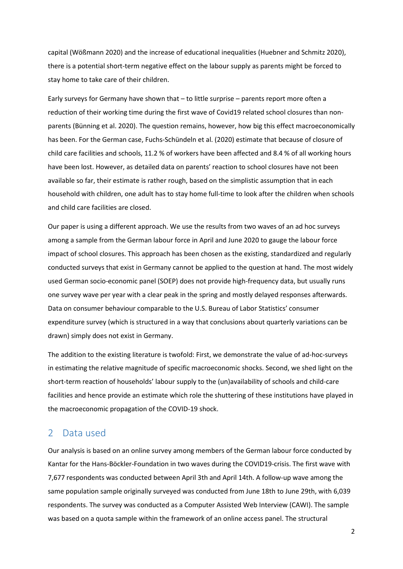capital (Wößmann 2020) and the increase of educational inequalities (Huebner and Schmitz 2020), there is a potential short-term negative effect on the labour supply as parents might be forced to stay home to take care of their children.

Early surveys for Germany have shown that – to little surprise – parents report more often a reduction of their working time during the first wave of Covid19 related school closures than nonparents (Bünning et al. 2020). The question remains, however, how big this effect macroeconomically has been. For the German case, Fuchs-Schündeln et al. (2020) estimate that because of closure of child care facilities and schools, 11.2 % of workers have been affected and 8.4 % of all working hours have been lost. However, as detailed data on parents' reaction to school closures have not been available so far, their estimate is rather rough, based on the simplistic assumption that in each household with children, one adult has to stay home full-time to look after the children when schools and child care facilities are closed.

Our paper is using a different approach. We use the results from two waves of an ad hoc surveys among a sample from the German labour force in April and June 2020 to gauge the labour force impact of school closures. This approach has been chosen as the existing, standardized and regularly conducted surveys that exist in Germany cannot be applied to the question at hand. The most widely used German socio-economic panel (SOEP) does not provide high-frequency data, but usually runs one survey wave per year with a clear peak in the spring and mostly delayed responses afterwards. Data on consumer behaviour comparable to the U.S. Bureau of Labor Statistics' consumer expenditure survey (which is structured in a way that conclusions about quarterly variations can be drawn) simply does not exist in Germany.

The addition to the existing literature is twofold: First, we demonstrate the value of ad-hoc-surveys in estimating the relative magnitude of specific macroeconomic shocks. Second, we shed light on the short-term reaction of households' labour supply to the (un)availability of schools and child-care facilities and hence provide an estimate which role the shuttering of these institutions have played in the macroeconomic propagation of the COVID-19 shock.

#### 2 Data used

Our analysis is based on an online survey among members of the German labour force conducted by Kantar for the Hans-Böckler-Foundation in two waves during the COVID19-crisis. The first wave with 7,677 respondents was conducted between April 3th and April 14th. A follow-up wave among the same population sample originally surveyed was conducted from June 18th to June 29th, with 6,039 respondents. The survey was conducted as a Computer Assisted Web Interview (CAWI). The sample was based on a quota sample within the framework of an online access panel. The structural

2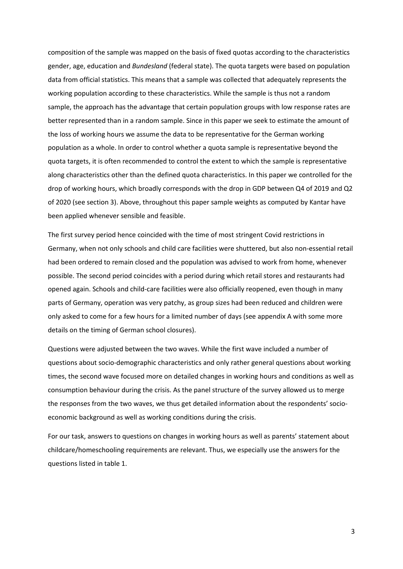composition of the sample was mapped on the basis of fixed quotas according to the characteristics gender, age, education and *Bundesland* (federal state). The quota targets were based on population data from official statistics. This means that a sample was collected that adequately represents the working population according to these characteristics. While the sample is thus not a random sample, the approach has the advantage that certain population groups with low response rates are better represented than in a random sample. Since in this paper we seek to estimate the amount of the loss of working hours we assume the data to be representative for the German working population as a whole. In order to control whether a quota sample is representative beyond the quota targets, it is often recommended to control the extent to which the sample is representative along characteristics other than the defined quota characteristics. In this paper we controlled for the drop of working hours, which broadly corresponds with the drop in GDP between Q4 of 2019 and Q2 of 2020 (see section 3). Above, throughout this paper sample weights as computed by Kantar have been applied whenever sensible and feasible.

The first survey period hence coincided with the time of most stringent Covid restrictions in Germany, when not only schools and child care facilities were shuttered, but also non-essential retail had been ordered to remain closed and the population was advised to work from home, whenever possible. The second period coincides with a period during which retail stores and restaurants had opened again. Schools and child-care facilities were also officially reopened, even though in many parts of Germany, operation was very patchy, as group sizes had been reduced and children were only asked to come for a few hours for a limited number of days (see appendix A with some more details on the timing of German school closures).

Questions were adjusted between the two waves. While the first wave included a number of questions about socio-demographic characteristics and only rather general questions about working times, the second wave focused more on detailed changes in working hours and conditions as well as consumption behaviour during the crisis. As the panel structure of the survey allowed us to merge the responses from the two waves, we thus get detailed information about the respondents' socioeconomic background as well as working conditions during the crisis.

For our task, answers to questions on changes in working hours as well as parents' statement about childcare/homeschooling requirements are relevant. Thus, we especially use the answers for the questions listed in table 1.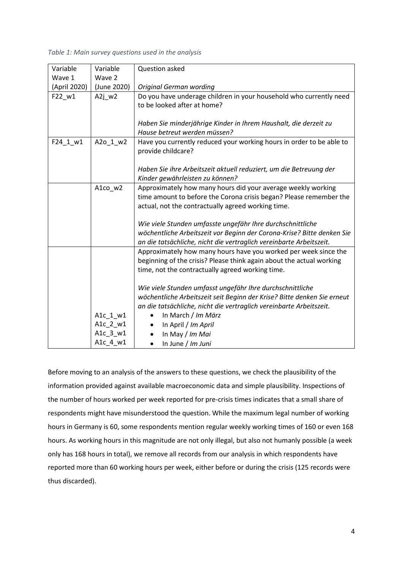#### *Table 1: Main survey questions used in the analysis*

| Variable     | Variable    | Question asked                                                          |
|--------------|-------------|-------------------------------------------------------------------------|
| Wave 1       | Wave 2      |                                                                         |
| (April 2020) | (June 2020) | <b>Original German wording</b>                                          |
| F22_w1       | $A2j$ w2    | Do you have underage children in your household who currently need      |
|              |             | to be looked after at home?                                             |
|              |             |                                                                         |
|              |             | Haben Sie minderjährige Kinder in Ihrem Haushalt, die derzeit zu        |
|              |             | Hause betreut werden müssen?                                            |
| F24_1_w1     | A2o_1_w2    | Have you currently reduced your working hours in order to be able to    |
|              |             | provide childcare?                                                      |
|              |             |                                                                         |
|              |             | Haben Sie ihre Arbeitszeit aktuell reduziert, um die Betreuung der      |
|              |             | Kinder gewährleisten zu können?                                         |
|              | A1co_w2     | Approximately how many hours did your average weekly working            |
|              |             | time amount to before the Corona crisis began? Please remember the      |
|              |             | actual, not the contractually agreed working time.                      |
|              |             |                                                                         |
|              |             | Wie viele Stunden umfasste ungefähr Ihre durchschnittliche              |
|              |             | wöchentliche Arbeitszeit vor Beginn der Corona-Krise? Bitte denken Sie  |
|              |             | an die tatsächliche, nicht die vertraglich vereinbarte Arbeitszeit.     |
|              |             | Approximately how many hours have you worked per week since the         |
|              |             | beginning of the crisis? Please think again about the actual working    |
|              |             | time, not the contractually agreed working time.                        |
|              |             |                                                                         |
|              |             | Wie viele Stunden umfasst ungefähr Ihre durchschnittliche               |
|              |             | wöchentliche Arbeitszeit seit Beginn der Krise? Bitte denken Sie erneut |
|              |             | an die tatsächliche, nicht die vertraglich vereinbarte Arbeitszeit.     |
|              | A1c_1_w1    | In March / Im März<br>$\bullet$                                         |
|              | A1c_2_w1    | In April / Im April<br>$\bullet$                                        |
|              | A1c_3_w1    | In May / Im Mai                                                         |
|              | A1c_4_w1    | In June / Im Juni<br>$\bullet$                                          |

Before moving to an analysis of the answers to these questions, we check the plausibility of the information provided against available macroeconomic data and simple plausibility. Inspections of the number of hours worked per week reported for pre-crisis times indicates that a small share of respondents might have misunderstood the question. While the maximum legal number of working hours in Germany is 60, some respondents mention regular weekly working times of 160 or even 168 hours. As working hours in this magnitude are not only illegal, but also not humanly possible (a week only has 168 hours in total), we remove all records from our analysis in which respondents have reported more than 60 working hours per week, either before or during the crisis (125 records were thus discarded).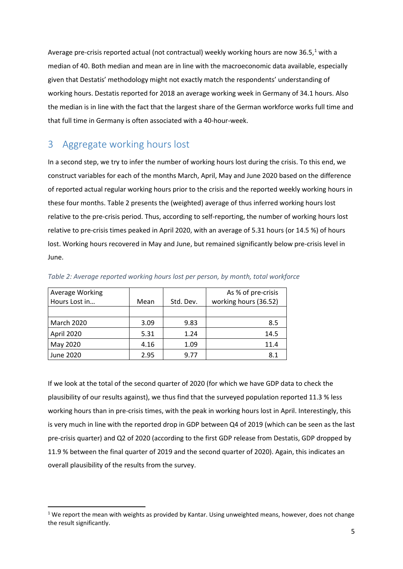Average pre-crisis reported actual (not contractual) weekly working hours are now 36.5, $1$  with a median of 40. Both median and mean are in line with the macroeconomic data available, especially given that Destatis' methodology might not exactly match the respondents' understanding of working hours. Destatis reported for 2018 an average working week in Germany of 34.1 hours. Also the median is in line with the fact that the largest share of the German workforce works full time and that full time in Germany is often associated with a 40-hour-week.

## 3 Aggregate working hours lost

In a second step, we try to infer the number of working hours lost during the crisis. To this end, we construct variables for each of the months March, April, May and June 2020 based on the difference of reported actual regular working hours prior to the crisis and the reported weekly working hours in these four months. Table 2 presents the (weighted) average of thus inferred working hours lost relative to the pre-crisis period. Thus, according to self-reporting, the number of working hours lost relative to pre-crisis times peaked in April 2020, with an average of 5.31 hours (or 14.5 %) of hours lost. Working hours recovered in May and June, but remained significantly below pre-crisis level in June.

| Average Working   |      |           | As % of pre-crisis    |
|-------------------|------|-----------|-----------------------|
| Hours Lost in     | Mean | Std. Dev. | working hours (36.52) |
|                   |      |           |                       |
| <b>March 2020</b> | 3.09 | 9.83      | 8.5                   |
| April 2020        | 5.31 | 1.24      | 14.5                  |
| May 2020          | 4.16 | 1.09      | 11.4                  |
| June 2020         | 2.95 | 9.77      | 8.1                   |

*Table 2: Average reported working hours lost per person, by month, total workforce*

If we look at the total of the second quarter of 2020 (for which we have GDP data to check the plausibility of our results against), we thus find that the surveyed population reported 11.3 % less working hours than in pre-crisis times, with the peak in working hours lost in April. Interestingly, this is very much in line with the reported drop in GDP between Q4 of 2019 (which can be seen as the last pre-crisis quarter) and Q2 of 2020 (according to the first GDP release from Destatis, GDP dropped by 11.9 % between the final quarter of 2019 and the second quarter of 2020). Again, this indicates an overall plausibility of the results from the survey.

<span id="page-5-0"></span> $1$  We report the mean with weights as provided by Kantar. Using unweighted means, however, does not change the result significantly.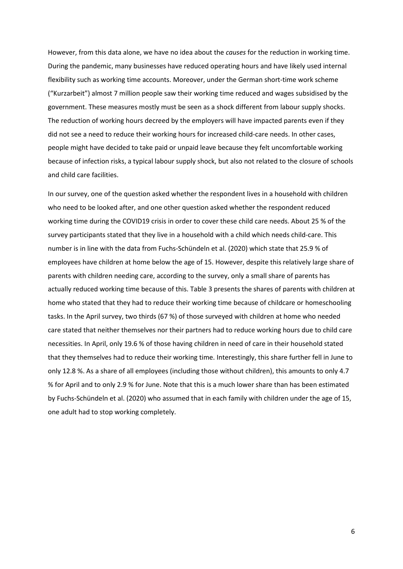However, from this data alone, we have no idea about the *causes* for the reduction in working time. During the pandemic, many businesses have reduced operating hours and have likely used internal flexibility such as working time accounts. Moreover, under the German short-time work scheme ("Kurzarbeit") almost 7 million people saw their working time reduced and wages subsidised by the government. These measures mostly must be seen as a shock different from labour supply shocks. The reduction of working hours decreed by the employers will have impacted parents even if they did not see a need to reduce their working hours for increased child-care needs. In other cases, people might have decided to take paid or unpaid leave because they felt uncomfortable working because of infection risks, a typical labour supply shock, but also not related to the closure of schools and child care facilities.

In our survey, one of the question asked whether the respondent lives in a household with children who need to be looked after, and one other question asked whether the respondent reduced working time during the COVID19 crisis in order to cover these child care needs. About 25 % of the survey participants stated that they live in a household with a child which needs child-care. This number is in line with the data from Fuchs-Schündeln et al. (2020) which state that 25.9 % of employees have children at home below the age of 15. However, despite this relatively large share of parents with children needing care, according to the survey, only a small share of parents has actually reduced working time because of this. Table 3 presents the shares of parents with children at home who stated that they had to reduce their working time because of childcare or homeschooling tasks. In the April survey, two thirds (67 %) of those surveyed with children at home who needed care stated that neither themselves nor their partners had to reduce working hours due to child care necessities. In April, only 19.6 % of those having children in need of care in their household stated that they themselves had to reduce their working time. Interestingly, this share further fell in June to only 12.8 %. As a share of all employees (including those without children), this amounts to only 4.7 % for April and to only 2.9 % for June. Note that this is a much lower share than has been estimated by Fuchs-Schündeln et al. (2020) who assumed that in each family with children under the age of 15, one adult had to stop working completely.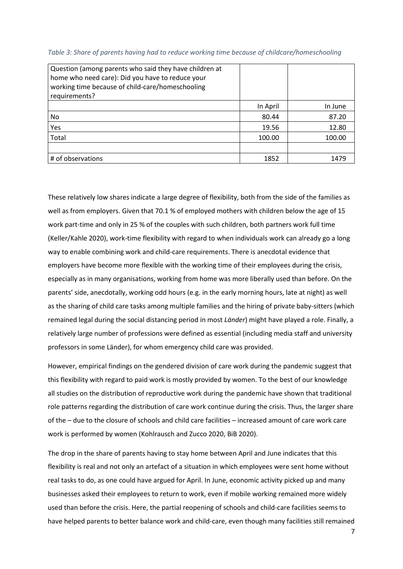| Question (among parents who said they have children at<br>home who need care): Did you have to reduce your<br>working time because of child-care/homeschooling<br>requirements? |          |         |
|---------------------------------------------------------------------------------------------------------------------------------------------------------------------------------|----------|---------|
|                                                                                                                                                                                 | In April | In June |
| No                                                                                                                                                                              | 80.44    | 87.20   |
| Yes                                                                                                                                                                             | 19.56    | 12.80   |
| Total                                                                                                                                                                           | 100.00   | 100.00  |
|                                                                                                                                                                                 |          |         |
| # of observations                                                                                                                                                               | 1852     | 1479    |

*Table 3: Share of parents having had to reduce working time because of childcare/homeschooling*

These relatively low shares indicate a large degree of flexibility, both from the side of the families as well as from employers. Given that 70.1 % of employed mothers with children below the age of 15 work part-time and only in 25 % of the couples with such children, both partners work full time (Keller/Kahle 2020), work-time flexibility with regard to when individuals work can already go a long way to enable combining work and child-care requirements. There is anecdotal evidence that employers have become more flexible with the working time of their employees during the crisis, especially as in many organisations, working from home was more liberally used than before. On the parents' side, anecdotally, working odd hours (e.g. in the early morning hours, late at night) as well as the sharing of child care tasks among multiple families and the hiring of private baby-sitters (which remained legal during the social distancing period in most *Länder*) might have played a role. Finally, a relatively large number of professions were defined as essential (including media staff and university professors in some Länder), for whom emergency child care was provided.

However, empirical findings on the gendered division of care work during the pandemic suggest that this flexibility with regard to paid work is mostly provided by women. To the best of our knowledge all studies on the distribution of reproductive work during the pandemic have shown that traditional role patterns regarding the distribution of care work continue during the crisis. Thus, the larger share of the – due to the closure of schools and child care facilities – increased amount of care work care work is performed by women (Kohlrausch and Zucco 2020, BiB 2020).

The drop in the share of parents having to stay home between April and June indicates that this flexibility is real and not only an artefact of a situation in which employees were sent home without real tasks to do, as one could have argued for April. In June, economic activity picked up and many businesses asked their employees to return to work, even if mobile working remained more widely used than before the crisis. Here, the partial reopening of schools and child-care facilities seems to have helped parents to better balance work and child-care, even though many facilities still remained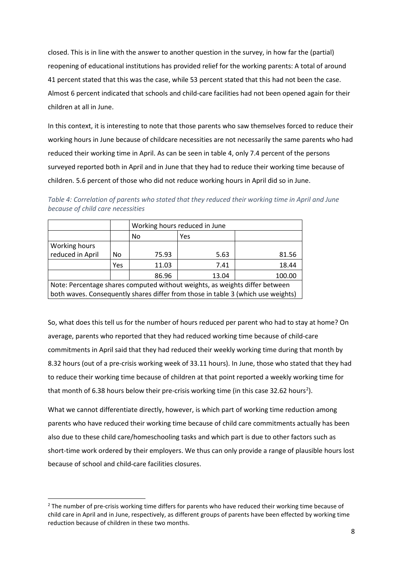closed. This is in line with the answer to another question in the survey, in how far the (partial) reopening of educational institutions has provided relief for the working parents: A total of around 41 percent stated that this was the case, while 53 percent stated that this had not been the case. Almost 6 percent indicated that schools and child-care facilities had not been opened again for their children at all in June.

In this context, it is interesting to note that those parents who saw themselves forced to reduce their working hours in June because of childcare necessities are not necessarily the same parents who had reduced their working time in April. As can be seen in table 4, only 7.4 percent of the persons surveyed reported both in April and in June that they had to reduce their working time because of children. 5.6 percent of those who did not reduce working hours in April did so in June.

*Table 4: Correlation of parents who stated that they reduced their working time in April and June because of child care necessities*

|                                                                                  |                          | Working hours reduced in June |      |       |  |  |  |  |
|----------------------------------------------------------------------------------|--------------------------|-------------------------------|------|-------|--|--|--|--|
|                                                                                  |                          | Yes<br>No                     |      |       |  |  |  |  |
| Working hours                                                                    |                          |                               |      |       |  |  |  |  |
| reduced in April                                                                 | No                       | 75.93                         | 5.63 | 81.56 |  |  |  |  |
|                                                                                  | Yes                      | 18.44<br>11.03<br>7.41        |      |       |  |  |  |  |
|                                                                                  | 86.96<br>100.00<br>13.04 |                               |      |       |  |  |  |  |
| Note: Percentage shares computed without weights, as weights differ between      |                          |                               |      |       |  |  |  |  |
| both waves. Consequently shares differ from those in table 3 (which use weights) |                          |                               |      |       |  |  |  |  |

So, what does this tell us for the number of hours reduced per parent who had to stay at home? On average, parents who reported that they had reduced working time because of child-care commitments in April said that they had reduced their weekly working time during that month by 8.32 hours (out of a pre-crisis working week of 33.11 hours). In June, those who stated that they had to reduce their working time because of children at that point reported a weekly working time for that month of 6.38 hours below their pre-crisis working time (in this case 3[2](#page-8-0).62 hours<sup>2</sup>).

What we cannot differentiate directly, however, is which part of working time reduction among parents who have reduced their working time because of child care commitments actually has been also due to these child care/homeschooling tasks and which part is due to other factors such as short-time work ordered by their employers. We thus can only provide a range of plausible hours lost because of school and child-care facilities closures.

<span id="page-8-0"></span><sup>&</sup>lt;sup>2</sup> The number of pre-crisis working time differs for parents who have reduced their working time because of child care in April and in June, respectively, as different groups of parents have been effected by working time reduction because of children in these two months.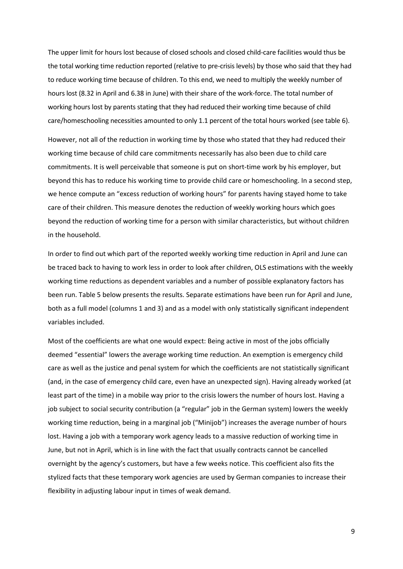The upper limit for hours lost because of closed schools and closed child-care facilities would thus be the total working time reduction reported (relative to pre-crisis levels) by those who said that they had to reduce working time because of children. To this end, we need to multiply the weekly number of hours lost (8.32 in April and 6.38 in June) with their share of the work-force. The total number of working hours lost by parents stating that they had reduced their working time because of child care/homeschooling necessities amounted to only 1.1 percent of the total hours worked (see table 6).

However, not all of the reduction in working time by those who stated that they had reduced their working time because of child care commitments necessarily has also been due to child care commitments. It is well perceivable that someone is put on short-time work by his employer, but beyond this has to reduce his working time to provide child care or homeschooling. In a second step, we hence compute an "excess reduction of working hours" for parents having stayed home to take care of their children. This measure denotes the reduction of weekly working hours which goes beyond the reduction of working time for a person with similar characteristics, but without children in the household.

In order to find out which part of the reported weekly working time reduction in April and June can be traced back to having to work less in order to look after children, OLS estimations with the weekly working time reductions as dependent variables and a number of possible explanatory factors has been run. Table 5 below presents the results. Separate estimations have been run for April and June, both as a full model (columns 1 and 3) and as a model with only statistically significant independent variables included.

Most of the coefficients are what one would expect: Being active in most of the jobs officially deemed "essential" lowers the average working time reduction. An exemption is emergency child care as well as the justice and penal system for which the coefficients are not statistically significant (and, in the case of emergency child care, even have an unexpected sign). Having already worked (at least part of the time) in a mobile way prior to the crisis lowers the number of hours lost. Having a job subject to social security contribution (a "regular" job in the German system) lowers the weekly working time reduction, being in a marginal job ("Minijob") increases the average number of hours lost. Having a job with a temporary work agency leads to a massive reduction of working time in June, but not in April, which is in line with the fact that usually contracts cannot be cancelled overnight by the agency's customers, but have a few weeks notice. This coefficient also fits the stylized facts that these temporary work agencies are used by German companies to increase their flexibility in adjusting labour input in times of weak demand.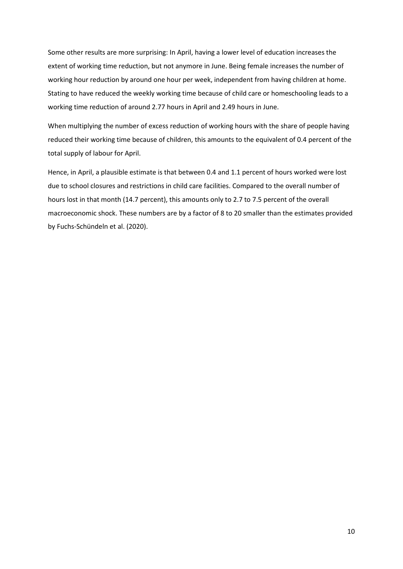Some other results are more surprising: In April, having a lower level of education increases the extent of working time reduction, but not anymore in June. Being female increases the number of working hour reduction by around one hour per week, independent from having children at home. Stating to have reduced the weekly working time because of child care or homeschooling leads to a working time reduction of around 2.77 hours in April and 2.49 hours in June.

When multiplying the number of excess reduction of working hours with the share of people having reduced their working time because of children, this amounts to the equivalent of 0.4 percent of the total supply of labour for April.

Hence, in April, a plausible estimate is that between 0.4 and 1.1 percent of hours worked were lost due to school closures and restrictions in child care facilities. Compared to the overall number of hours lost in that month (14.7 percent), this amounts only to 2.7 to 7.5 percent of the overall macroeconomic shock. These numbers are by a factor of 8 to 20 smaller than the estimates provided by Fuchs-Schündeln et al. (2020).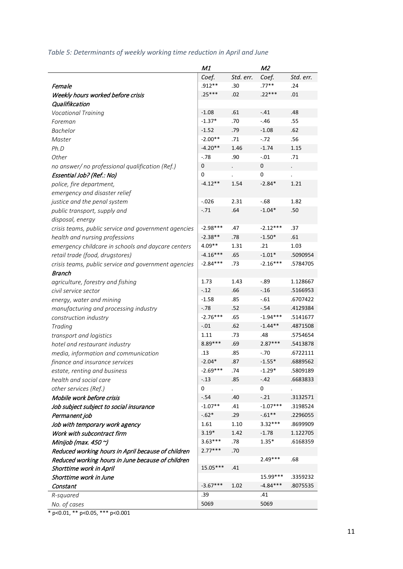#### *Table 5: Determinants of weekly working time reduction in April and June*

|                                                      | M1         |                      | M2         |           |
|------------------------------------------------------|------------|----------------------|------------|-----------|
|                                                      | Coef.      | Std. err.            | Coef.      | Std. err. |
| Female                                               | $.912**$   | .30                  | $.77**$    | .24       |
| Weekly hours worked before crisis                    | .25***     | .02                  | .22***     | .01       |
| Qualifikcation                                       |            |                      |            |           |
| <b>Vocational Training</b>                           | $-1.08$    | .61                  | $-.41$     | .48       |
| Foreman                                              | $-1.37*$   | .70                  | $-.46$     | .55       |
| <b>Bachelor</b>                                      | $-1.52$    | .79                  | $-1.08$    | .62       |
| Master                                               | $-2.00**$  | .71                  | $-.72$     | .56       |
| Ph.D                                                 | $-4.20**$  | 1.46                 | $-1.74$    | 1.15      |
| Other                                                | $-.78$     | .90                  | $-.01$     | .71       |
| no answer/ no professional qualification (Ref.)      | 0          | $\ddot{\phantom{0}}$ | 0          | $\cdot$   |
| Essential Job? (Ref.: No)                            | 0          |                      | 0          |           |
| police, fire department,                             | $-4.12**$  | 1.54                 | $-2.84*$   | 1.21      |
| emergency and disaster relief                        |            |                      |            |           |
| justice and the penal system                         | $-.026$    | 2.31                 | $-0.68$    | 1.82      |
| public transport, supply and                         | $-.71$     | .64                  | $-1.04*$   | .50       |
| disposal, energy                                     |            |                      |            |           |
| crisis teams, public service and government agencies | $-2.98***$ | .47                  | $-2.12***$ | .37       |
| health and nursing professions                       | $-2.38**$  | .78                  | $-1.50*$   | .61       |
| emergency childcare in schools and daycare centers   | $4.09**$   | 1.31                 | .21        | 1.03      |
| retail trade (food, drugstores)                      | $-4.16***$ | .65                  | $-1.01*$   | .5090954  |
| crisis teams, public service and government agencies | $-2.84***$ | .73                  | $-2.16***$ | .5784705  |
| <b>Branch</b>                                        |            |                      |            |           |
| agriculture, forestry and fishing                    | 1.73       | 1.43                 | $-0.89$    | 1.128667  |
| civil service sector                                 | $-.12$     | .66                  | $-.16$     | .5166953  |
| energy, water and mining                             | $-1.58$    | .85                  | $-.61$     | .6707422  |
| manufacturing and processing industry                | $-.78$     | .52                  | $-.54$     | .4129384  |
| construction industry                                | $-2.76***$ | .65                  | $-1.94***$ | .5141677  |
| Trading                                              | $-.01$     | .62                  | $-1.44**$  | .4871508  |
| transport and logistics                              | 1.11       | .73                  | .48        | .5754654  |
| hotel and restaurant industry                        | 8.89 ***   | .69                  | $2.87***$  | .5413878  |
| media, information and communication                 | .13        | .85                  | -.70       | .6722111  |
| finance and insurance services                       | $-2.04*$   | .87                  | $-1.55*$   | .6889562  |
| estate, renting and business                         | $-2.69***$ | .74                  | $-1.29*$   | .5809189  |
| health and social care                               | $-.13$     | .85                  | $-.42$     | .6683833  |
| other services (Ref.)                                | 0          |                      | 0          |           |
| Mobile work before crisis                            | $-.54$     | .40                  | $-.21$     | .3132571  |
| Job subject subject to social insurance              | $-1.07**$  | .41                  | $-1.07***$ | .3198524  |
| Permanent job                                        | $-.62*$    | .29                  | $-.61**$   | .2296055  |
| Job with temporary work agency                       | 1.61       | 1.10                 | $3.32***$  | .8699909  |
| Work with subcontract firm                           | $3.19*$    | 1.42                 | $-1.78$    | 1.122705  |
| Minijob (max. 450 $\gamma$ )                         | $3.63***$  | .78                  | $1.35*$    | .6168359  |
| Reduced working hours in April because of children   | $2.77***$  | .70                  |            |           |
| Reduced working hours in June because of children    |            |                      | 2.49***    | .68       |
| Shorttime work in April                              | 15.05***   | .41                  |            |           |
| Shorttime work in June                               |            |                      | 15.99***   | .3359232  |
| Constant                                             | $-3.67***$ | 1.02                 | $-4.84***$ | .8075535  |
| R-squared                                            | .39        |                      | .41        |           |
| No. of cases                                         | 5069       |                      | 5069       |           |

\* p<0.01, \*\* p<0.05, \*\*\* p<0.001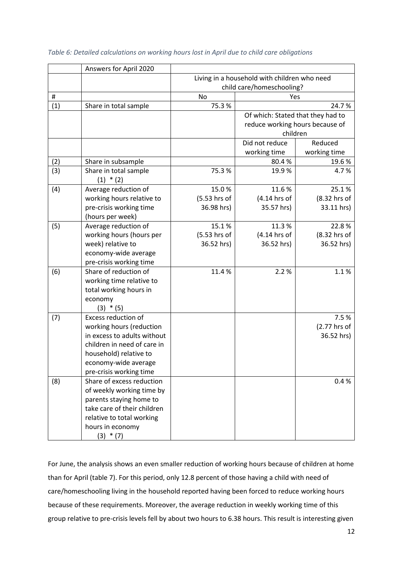|     | Answers for April 2020      |              |                                              |              |  |  |
|-----|-----------------------------|--------------|----------------------------------------------|--------------|--|--|
|     |                             |              | Living in a household with children who need |              |  |  |
|     |                             |              | child care/homeschooling?                    |              |  |  |
| #   |                             | No           | Yes                                          |              |  |  |
| (1) | Share in total sample       | 75.3%        | 24.7%                                        |              |  |  |
|     |                             |              | Of which: Stated that they had to            |              |  |  |
|     |                             |              | reduce working hours because of              |              |  |  |
|     |                             |              | children                                     |              |  |  |
|     |                             |              | Did not reduce                               | Reduced      |  |  |
|     |                             |              | working time                                 | working time |  |  |
| (2) | Share in subsample          |              | 80.4%                                        | 19.6%        |  |  |
| (3) | Share in total sample       | 75.3%        | 19.9%                                        | 4.7%         |  |  |
|     | $(1) * (2)$                 |              |                                              |              |  |  |
| (4) | Average reduction of        | 15.0%        | 11.6%                                        | 25.1%        |  |  |
|     | working hours relative to   | (5.53 hrs of | (4.14 hrs of                                 | (8.32 hrs of |  |  |
|     | pre-crisis working time     | 36.98 hrs)   | 35.57 hrs)                                   | 33.11 hrs)   |  |  |
|     | (hours per week)            |              |                                              |              |  |  |
| (5) | Average reduction of        | 15.1%        | 11.3%                                        | 22.8%        |  |  |
|     | working hours (hours per    | (5.53 hrs of | (4.14 hrs of                                 | (8.32 hrs of |  |  |
|     | week) relative to           | 36.52 hrs)   | 36.52 hrs)                                   | 36.52 hrs)   |  |  |
|     | economy-wide average        |              |                                              |              |  |  |
|     | pre-crisis working time     |              |                                              |              |  |  |
| (6) | Share of reduction of       | 11.4%        | 2.2%                                         | 1.1%         |  |  |
|     | working time relative to    |              |                                              |              |  |  |
|     | total working hours in      |              |                                              |              |  |  |
|     | economy                     |              |                                              |              |  |  |
|     | $(3) * (5)$                 |              |                                              |              |  |  |
| (7) | Excess reduction of         |              |                                              | 7.5%         |  |  |
|     | working hours (reduction    |              |                                              | (2.77 hrs of |  |  |
|     | in excess to adults without |              |                                              | 36.52 hrs)   |  |  |
|     | children in need of care in |              |                                              |              |  |  |
|     | household) relative to      |              |                                              |              |  |  |
|     | economy-wide average        |              |                                              |              |  |  |
|     | pre-crisis working time     |              |                                              |              |  |  |
| (8) | Share of excess reduction   |              |                                              | 0.4%         |  |  |
|     | of weekly working time by   |              |                                              |              |  |  |
|     | parents staying home to     |              |                                              |              |  |  |
|     | take care of their children |              |                                              |              |  |  |
|     | relative to total working   |              |                                              |              |  |  |
|     | hours in economy            |              |                                              |              |  |  |
|     | $(3) * (7)$                 |              |                                              |              |  |  |

*Table 6: Detailed calculations on working hours lost in April due to child care obligations*

For June, the analysis shows an even smaller reduction of working hours because of children at home than for April (table 7). For this period, only 12.8 percent of those having a child with need of care/homeschooling living in the household reported having been forced to reduce working hours because of these requirements. Moreover, the average reduction in weekly working time of this group relative to pre-crisis levels fell by about two hours to 6.38 hours. This result is interesting given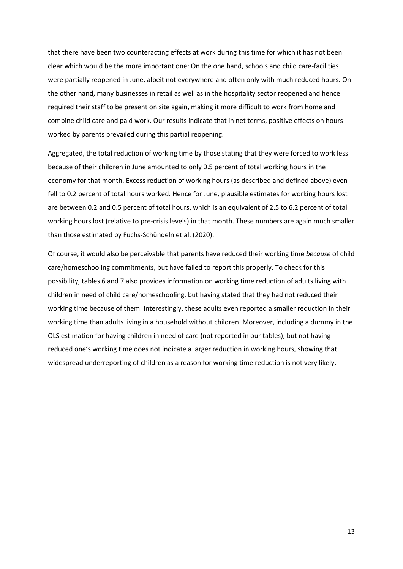that there have been two counteracting effects at work during this time for which it has not been clear which would be the more important one: On the one hand, schools and child care-facilities were partially reopened in June, albeit not everywhere and often only with much reduced hours. On the other hand, many businesses in retail as well as in the hospitality sector reopened and hence required their staff to be present on site again, making it more difficult to work from home and combine child care and paid work. Our results indicate that in net terms, positive effects on hours worked by parents prevailed during this partial reopening.

Aggregated, the total reduction of working time by those stating that they were forced to work less because of their children in June amounted to only 0.5 percent of total working hours in the economy for that month. Excess reduction of working hours (as described and defined above) even fell to 0.2 percent of total hours worked. Hence for June, plausible estimates for working hours lost are between 0.2 and 0.5 percent of total hours, which is an equivalent of 2.5 to 6.2 percent of total working hours lost (relative to pre-crisis levels) in that month. These numbers are again much smaller than those estimated by Fuchs-Schündeln et al. (2020).

Of course, it would also be perceivable that parents have reduced their working time *because* of child care/homeschooling commitments, but have failed to report this properly. To check for this possibility, tables 6 and 7 also provides information on working time reduction of adults living with children in need of child care/homeschooling, but having stated that they had not reduced their working time because of them. Interestingly, these adults even reported a smaller reduction in their working time than adults living in a household without children. Moreover, including a dummy in the OLS estimation for having children in need of care (not reported in our tables), but not having reduced one's working time does not indicate a larger reduction in working hours, showing that widespread underreporting of children as a reason for working time reduction is not very likely.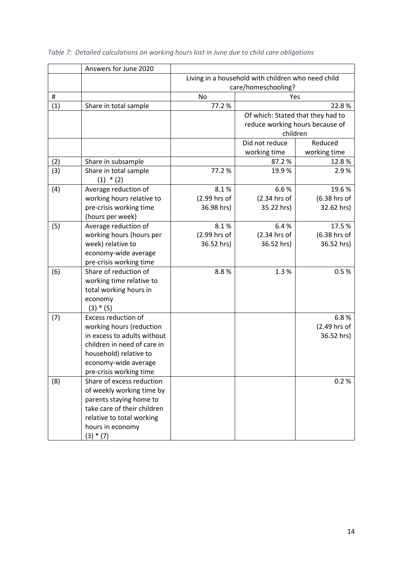|     | Answers for June 2020       |              |                                                    |              |  |  |
|-----|-----------------------------|--------------|----------------------------------------------------|--------------|--|--|
|     |                             |              | Living in a household with children who need child |              |  |  |
|     |                             |              | care/homeschooling?                                |              |  |  |
| #   |                             | No           | Yes                                                |              |  |  |
| (1) | Share in total sample       | 77.2%        | 22.8%                                              |              |  |  |
|     |                             |              | Of which: Stated that they had to                  |              |  |  |
|     |                             |              | reduce working hours because of                    |              |  |  |
|     |                             |              | children                                           |              |  |  |
|     |                             |              | Did not reduce                                     | Reduced      |  |  |
|     |                             |              | working time                                       | working time |  |  |
| (2) | Share in subsample          |              | 87.2%                                              | 12.8%        |  |  |
| (3) | Share in total sample       | 77.2 %       | 19.9%                                              | 2.9%         |  |  |
|     | $(1) * (2)$                 |              |                                                    |              |  |  |
| (4) | Average reduction of        | 8.1%         | 6.6%                                               | 19.6%        |  |  |
|     | working hours relative to   | (2.99 hrs of | (2.34 hrs of                                       | (6.38 hrs of |  |  |
|     | pre-crisis working time     | 36.98 hrs)   | 35.22 hrs)                                         | 32.62 hrs)   |  |  |
|     | (hours per week)            |              |                                                    |              |  |  |
| (5) | Average reduction of        | 8.1%         | 6.4%                                               | 17.5%        |  |  |
|     | working hours (hours per    | (2.99 hrs of | (2.34 hrs of                                       | (6.38 hrs of |  |  |
|     | week) relative to           | 36.52 hrs)   | 36.52 hrs)                                         | 36.52 hrs)   |  |  |
|     | economy-wide average        |              |                                                    |              |  |  |
|     | pre-crisis working time     |              |                                                    |              |  |  |
| (6) | Share of reduction of       | 8.8%         | 1.3%                                               | 0.5%         |  |  |
|     | working time relative to    |              |                                                    |              |  |  |
|     | total working hours in      |              |                                                    |              |  |  |
|     | economy                     |              |                                                    |              |  |  |
|     | $(3) * (5)$                 |              |                                                    |              |  |  |
| (7) | Excess reduction of         |              |                                                    | 6.8%         |  |  |
|     | working hours (reduction    |              |                                                    | (2.49 hrs of |  |  |
|     | in excess to adults without |              |                                                    | 36.52 hrs)   |  |  |
|     | children in need of care in |              |                                                    |              |  |  |
|     | household) relative to      |              |                                                    |              |  |  |
|     | economy-wide average        |              |                                                    |              |  |  |
|     | pre-crisis working time     |              |                                                    |              |  |  |
| (8) | Share of excess reduction   |              |                                                    | 0.2%         |  |  |
|     | of weekly working time by   |              |                                                    |              |  |  |
|     | parents staying home to     |              |                                                    |              |  |  |
|     | take care of their children |              |                                                    |              |  |  |
|     | relative to total working   |              |                                                    |              |  |  |
|     | hours in economy            |              |                                                    |              |  |  |
|     | $(3) * (7)$                 |              |                                                    |              |  |  |

# *Table 7: Detailed calculations on working hours lost in June due to child care obligations*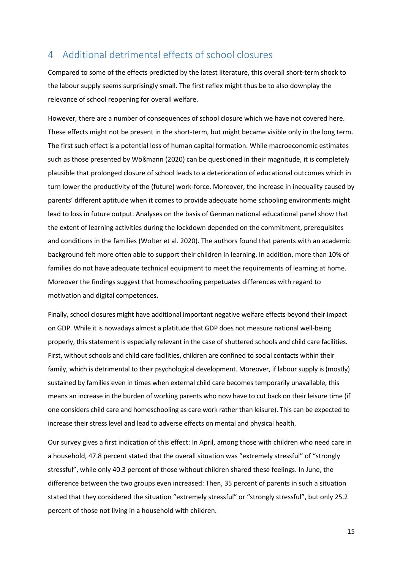## 4 Additional detrimental effects of school closures

Compared to some of the effects predicted by the latest literature, this overall short-term shock to the labour supply seems surprisingly small. The first reflex might thus be to also downplay the relevance of school reopening for overall welfare.

However, there are a number of consequences of school closure which we have not covered here. These effects might not be present in the short-term, but might became visible only in the long term. The first such effect is a potential loss of human capital formation. While macroeconomic estimates such as those presented by Wößmann (2020) can be questioned in their magnitude, it is completely plausible that prolonged closure of school leads to a deterioration of educational outcomes which in turn lower the productivity of the (future) work-force. Moreover, the increase in inequality caused by parents' different aptitude when it comes to provide adequate home schooling environments might lead to loss in future output. Analyses on the basis of German national educational panel show that the extent of learning activities during the lockdown depended on the commitment, prerequisites and conditions in the families (Wolter et al. 2020). The authors found that parents with an academic background felt more often able to support their children in learning. In addition, more than 10% of families do not have adequate technical equipment to meet the requirements of learning at home. Moreover the findings suggest that homeschooling perpetuates differences with regard to motivation and digital competences.

Finally, school closures might have additional important negative welfare effects beyond their impact on GDP. While it is nowadays almost a platitude that GDP does not measure national well-being properly, this statement is especially relevant in the case of shuttered schools and child care facilities. First, without schools and child care facilities, children are confined to social contacts within their family, which is detrimental to their psychological development. Moreover, if labour supply is (mostly) sustained by families even in times when external child care becomes temporarily unavailable, this means an increase in the burden of working parents who now have to cut back on their leisure time (if one considers child care and homeschooling as care work rather than leisure). This can be expected to increase their stress level and lead to adverse effects on mental and physical health.

Our survey gives a first indication of this effect: In April, among those with children who need care in a household, 47.8 percent stated that the overall situation was "extremely stressful" of "strongly stressful", while only 40.3 percent of those without children shared these feelings. In June, the difference between the two groups even increased: Then, 35 percent of parents in such a situation stated that they considered the situation "extremely stressful" or "strongly stressful", but only 25.2 percent of those not living in a household with children.

15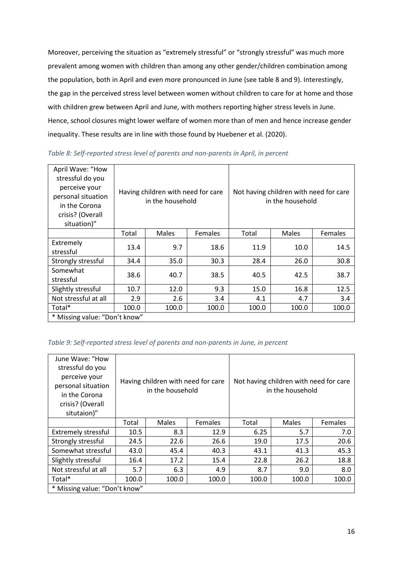Moreover, perceiving the situation as "extremely stressful" or "strongly stressful" was much more prevalent among women with children than among any other gender/children combination among the population, both in April and even more pronounced in June (see table 8 and 9). Interestingly, the gap in the perceived stress level between women without children to care for at home and those with children grew between April and June, with mothers reporting higher stress levels in June. Hence, school closures might lower welfare of women more than of men and hence increase gender inequality. These results are in line with those found by Huebener et al. (2020).

| April Wave: "How<br>stressful do you<br>perceive your<br>personal situation<br>in the Corona<br>crisis? (Overall<br>situation)" | Having children with need for care<br>in the household |       |         | Not having children with need for care<br>in the household |              |         |
|---------------------------------------------------------------------------------------------------------------------------------|--------------------------------------------------------|-------|---------|------------------------------------------------------------|--------------|---------|
|                                                                                                                                 | Total                                                  | Males | Females | Total                                                      | <b>Males</b> | Females |
| Extremely<br>stressful                                                                                                          | 13.4                                                   | 9.7   | 18.6    | 11.9                                                       | 10.0         | 14.5    |
| Strongly stressful                                                                                                              | 34.4                                                   | 35.0  | 30.3    | 28.4                                                       | 26.0         | 30.8    |
| Somewhat<br>stressful                                                                                                           | 38.6                                                   | 40.7  | 38.5    | 40.5                                                       | 42.5         | 38.7    |
| Slightly stressful                                                                                                              | 10.7                                                   | 12.0  | 9.3     | 15.0                                                       | 16.8         | 12.5    |
| Not stressful at all                                                                                                            | 2.9                                                    | 2.6   | 3.4     | 4.1                                                        | 4.7          | 3.4     |
| Total*                                                                                                                          | 100.0                                                  | 100.0 | 100.0   | 100.0                                                      | 100.0        | 100.0   |
| * Missing value: "Don't know"                                                                                                   |                                                        |       |         |                                                            |              |         |

*Table 8: Self-reported stress level of parents and non-parents in April, in percent*

#### *Table 9: Self-reported stress level of parents and non-parents in June, in percent*

| June Wave: "How<br>stressful do you<br>perceive your<br>personal situation<br>in the Corona<br>crisis? (Overall<br>situtaion)" | Having children with need for care<br>in the household |              |                | Not having children with need for care<br>in the household |       |         |
|--------------------------------------------------------------------------------------------------------------------------------|--------------------------------------------------------|--------------|----------------|------------------------------------------------------------|-------|---------|
|                                                                                                                                | Total                                                  | <b>Males</b> | <b>Females</b> | Total                                                      | Males | Females |
| <b>Extremely stressful</b>                                                                                                     | 10.5                                                   | 8.3          | 12.9           | 6.25                                                       | 5.7   | 7.0     |
| Strongly stressful                                                                                                             | 24.5                                                   | 22.6         | 26.6           | 19.0                                                       | 17.5  | 20.6    |
| Somewhat stressful                                                                                                             | 43.0                                                   | 45.4         | 40.3           | 43.1                                                       | 41.3  | 45.3    |
| Slightly stressful                                                                                                             | 16.4                                                   | 17.2         | 15.4           | 22.8                                                       | 26.2  | 18.8    |
| Not stressful at all                                                                                                           | 5.7                                                    | 6.3          | 4.9            | 8.7                                                        | 9.0   | 8.0     |
| Total*                                                                                                                         | 100.0<br>100.0<br>100.0                                |              | 100.0          | 100.0                                                      | 100.0 |         |
| * Missing value: "Don't know"                                                                                                  |                                                        |              |                |                                                            |       |         |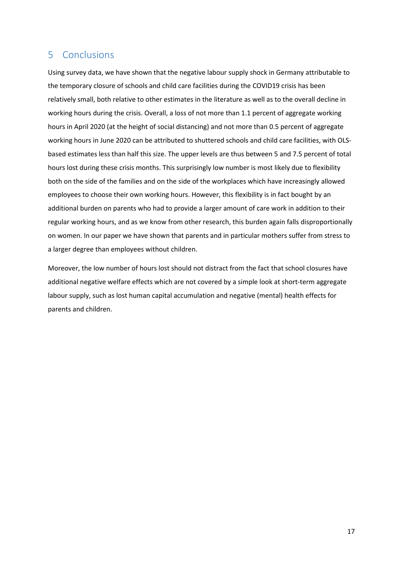# 5 Conclusions

Using survey data, we have shown that the negative labour supply shock in Germany attributable to the temporary closure of schools and child care facilities during the COVID19 crisis has been relatively small, both relative to other estimates in the literature as well as to the overall decline in working hours during the crisis. Overall, a loss of not more than 1.1 percent of aggregate working hours in April 2020 (at the height of social distancing) and not more than 0.5 percent of aggregate working hours in June 2020 can be attributed to shuttered schools and child care facilities, with OLSbased estimates less than half this size. The upper levels are thus between 5 and 7.5 percent of total hours lost during these crisis months. This surprisingly low number is most likely due to flexibility both on the side of the families and on the side of the workplaces which have increasingly allowed employees to choose their own working hours. However, this flexibility is in fact bought by an additional burden on parents who had to provide a larger amount of care work in addition to their regular working hours, and as we know from other research, this burden again falls disproportionally on women. In our paper we have shown that parents and in particular mothers suffer from stress to a larger degree than employees without children.

Moreover, the low number of hours lost should not distract from the fact that school closures have additional negative welfare effects which are not covered by a simple look at short-term aggregate labour supply, such as lost human capital accumulation and negative (mental) health effects for parents and children.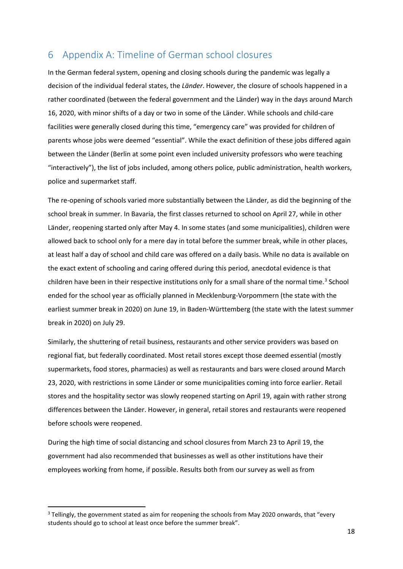# 6 Appendix A: Timeline of German school closures

In the German federal system, opening and closing schools during the pandemic was legally a decision of the individual federal states, the *Länder*. However, the closure of schools happened in a rather coordinated (between the federal government and the Länder) way in the days around March 16, 2020, with minor shifts of a day or two in some of the Länder. While schools and child-care facilities were generally closed during this time, "emergency care" was provided for children of parents whose jobs were deemed "essential". While the exact definition of these jobs differed again between the Länder (Berlin at some point even included university professors who were teaching "interactively"), the list of jobs included, among others police, public administration, health workers, police and supermarket staff.

The re-opening of schools varied more substantially between the Länder, as did the beginning of the school break in summer. In Bavaria, the first classes returned to school on April 27, while in other Länder, reopening started only after May 4. In some states (and some municipalities), children were allowed back to school only for a mere day in total before the summer break, while in other places, at least half a day of school and child care was offered on a daily basis. While no data is available on the exact extent of schooling and caring offered during this period, anecdotal evidence is that children have been in their respective institutions only for a small share of the normal time.<sup>[3](#page-18-0)</sup> School ended for the school year as officially planned in Mecklenburg-Vorpommern (the state with the earliest summer break in 2020) on June 19, in Baden-Württemberg (the state with the latest summer break in 2020) on July 29.

Similarly, the shuttering of retail business, restaurants and other service providers was based on regional fiat, but federally coordinated. Most retail stores except those deemed essential (mostly supermarkets, food stores, pharmacies) as well as restaurants and bars were closed around March 23, 2020, with restrictions in some Länder or some municipalities coming into force earlier. Retail stores and the hospitality sector was slowly reopened starting on April 19, again with rather strong differences between the Länder. However, in general, retail stores and restaurants were reopened before schools were reopened.

During the high time of social distancing and school closures from March 23 to April 19, the government had also recommended that businesses as well as other institutions have their employees working from home, if possible. Results both from our survey as well as from

<span id="page-18-0"></span> $3$  Tellingly, the government stated as aim for reopening the schools from May 2020 onwards, that "every students should go to school at least once before the summer break".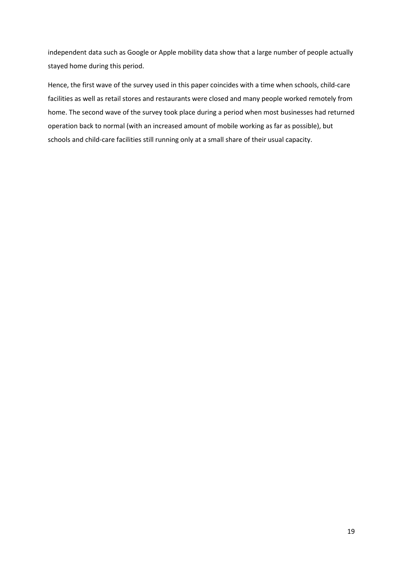independent data such as Google or Apple mobility data show that a large number of people actually stayed home during this period.

Hence, the first wave of the survey used in this paper coincides with a time when schools, child-care facilities as well as retail stores and restaurants were closed and many people worked remotely from home. The second wave of the survey took place during a period when most businesses had returned operation back to normal (with an increased amount of mobile working as far as possible), but schools and child-care facilities still running only at a small share of their usual capacity.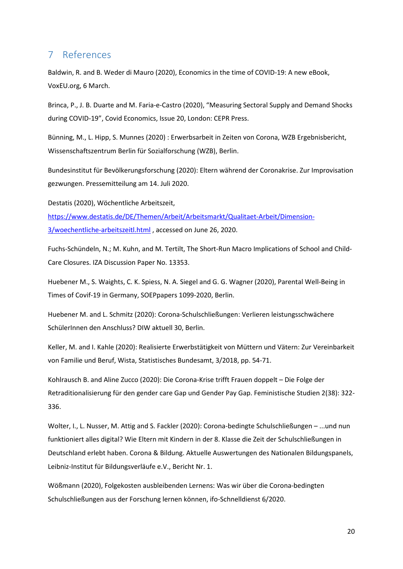#### 7 References

Baldwin, R. and B. Weder di Mauro (2020), Economics in the time of COVID-19: A new eBook, VoxEU.org, 6 March.

Brinca, P., J. B. Duarte and M. Faria-e-Castro (2020), "Measuring Sectoral Supply and Demand Shocks during COVID-19", Covid Economics, Issue 20, London: CEPR Press.

Bünning, M., L. Hipp, S. Munnes (2020) : Erwerbsarbeit in Zeiten von Corona, WZB Ergebnisbericht, Wissenschaftszentrum Berlin für Sozialforschung (WZB), Berlin.

Bundesinstitut für Bevölkerungsforschung (2020): Eltern während der Coronakrise. Zur Improvisation gezwungen. Pressemitteilung am 14. Juli 2020.

Destatis (2020), Wöchentliche Arbeitszeit,

[https://www.destatis.de/DE/Themen/Arbeit/Arbeitsmarkt/Qualitaet-Arbeit/Dimension-](https://www.destatis.de/DE/Themen/Arbeit/Arbeitsmarkt/Qualitaet-Arbeit/Dimension-3/woechentliche-arbeitszeitl.html)[3/woechentliche-arbeitszeitl.html](https://www.destatis.de/DE/Themen/Arbeit/Arbeitsmarkt/Qualitaet-Arbeit/Dimension-3/woechentliche-arbeitszeitl.html) , accessed on June 26, 2020.

Fuchs-Schündeln, N.; M. Kuhn, and M. Tertilt, The Short-Run Macro Implications of School and Child-Care Closures. IZA Discussion Paper No. 13353.

Huebener M., S. Waights, C. K. Spiess, N. A. Siegel and G. G. Wagner (2020), Parental Well-Being in Times of Covif-19 in Germany, SOEPpapers 1099-2020, Berlin.

Huebener M. and L. Schmitz (2020): Corona-Schulschließungen: Verlieren leistungsschwächere SchülerInnen den Anschluss? DIW aktuell 30, Berlin.

Keller, M. and I. Kahle (2020): Realisierte Erwerbstätigkeit von Müttern und Vätern: Zur Vereinbarkeit von Familie und Beruf, Wista, Statistisches Bundesamt, 3/2018, pp. 54-71.

Kohlrausch B. and Aline Zucco (2020): Die Corona-Krise trifft Frauen doppelt – Die Folge der Retraditionalisierung für den gender care Gap und Gender Pay Gap. Feministische Studien 2(38): 322- 336.

Wolter, I., L. Nusser, M. Attig and S. Fackler (2020): Corona-bedingte Schulschließungen – ...und nun funktioniert alles digital? Wie Eltern mit Kindern in der 8. Klasse die Zeit der Schulschließungen in Deutschland erlebt haben. Corona & Bildung. Aktuelle Auswertungen des Nationalen Bildungspanels, Leibniz-Institut für Bildungsverläufe e.V., Bericht Nr. 1.

Wößmann (2020), Folgekosten ausbleibenden Lernens: Was wir über die Corona-bedingten Schulschließungen aus der Forschung lernen können, ifo-Schnelldienst 6/2020.